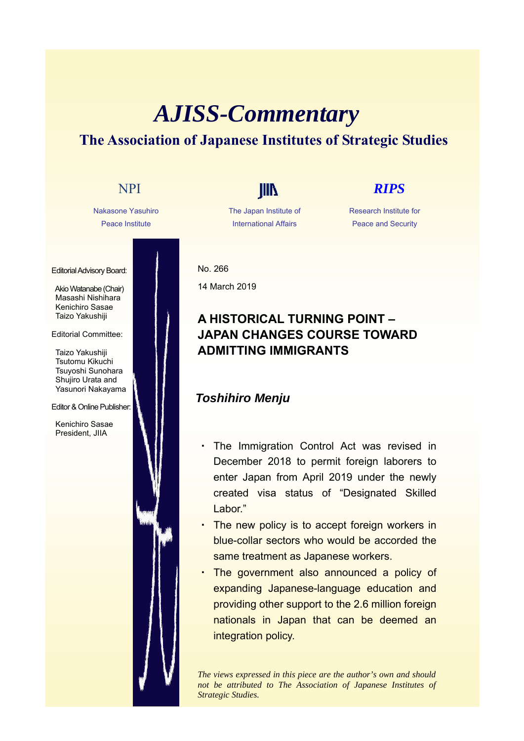# *AJISS-Commentary* **The Association of Japanese Institutes of Strategic Studies**

Nakasone Yasuhiro Peace Institute

Editorial Advisory Board:

Akio Watanabe (Chair) Masashi Nishihara Kenichiro Sasae Taizo Yakushiji

#### Editorial Committee:

Taizo Yakushiji Tsutomu Kikuchi Tsuyoshi Sunohara Shujiro Urata and Yasunori Nakayama

#### Editor & Online Publisher:

Kenichiro Sasae President, JIIA

The Japan Institute of International Affairs

# NPI **IIII** *RIPS*

Research Institute for Peace and Security

No. 266 14 March 2019

#### **A HISTORICAL TURNING POINT – JAPAN CHANGES COURSE TOWARD ADMITTING IMMIGRANTS**

#### *Toshihiro Menju*

- The Immigration Control Act was revised in December 2018 to permit foreign laborers to enter Japan from April 2019 under the newly created visa status of "Designated Skilled Labor."
- ・ The new policy is to accept foreign workers in blue-collar sectors who would be accorded the same treatment as Japanese workers.
- The government also announced a policy of expanding Japanese-language education and providing other support to the 2.6 million foreign nationals in Japan that can be deemed an integration policy.

*The views expressed in this piece are the author's own and should not be attributed to The Association of Japanese Institutes of Strategic Studies.*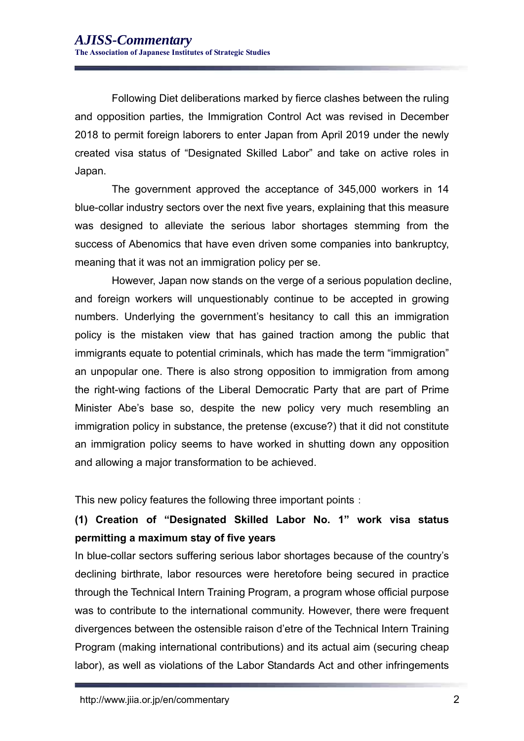Following Diet deliberations marked by fierce clashes between the ruling and opposition parties, the Immigration Control Act was revised in December 2018 to permit foreign laborers to enter Japan from April 2019 under the newly created visa status of "Designated Skilled Labor" and take on active roles in Japan.

The government approved the acceptance of 345,000 workers in 14 blue-collar industry sectors over the next five years, explaining that this measure was designed to alleviate the serious labor shortages stemming from the success of Abenomics that have even driven some companies into bankruptcy, meaning that it was not an immigration policy per se.

However, Japan now stands on the verge of a serious population decline, and foreign workers will unquestionably continue to be accepted in growing numbers. Underlying the government's hesitancy to call this an immigration policy is the mistaken view that has gained traction among the public that immigrants equate to potential criminals, which has made the term "immigration" an unpopular one. There is also strong opposition to immigration from among the right-wing factions of the Liberal Democratic Party that are part of Prime Minister Abe's base so, despite the new policy very much resembling an immigration policy in substance, the pretense (excuse?) that it did not constitute an immigration policy seems to have worked in shutting down any opposition and allowing a major transformation to be achieved.

This new policy features the following three important points:

## **(1) Creation of "Designated Skilled Labor No. 1" work visa status permitting a maximum stay of five years**

In blue-collar sectors suffering serious labor shortages because of the country's declining birthrate, labor resources were heretofore being secured in practice through the Technical Intern Training Program, a program whose official purpose was to contribute to the international community. However, there were frequent divergences between the ostensible raison d'etre of the Technical Intern Training Program (making international contributions) and its actual aim (securing cheap labor), as well as violations of the Labor Standards Act and other infringements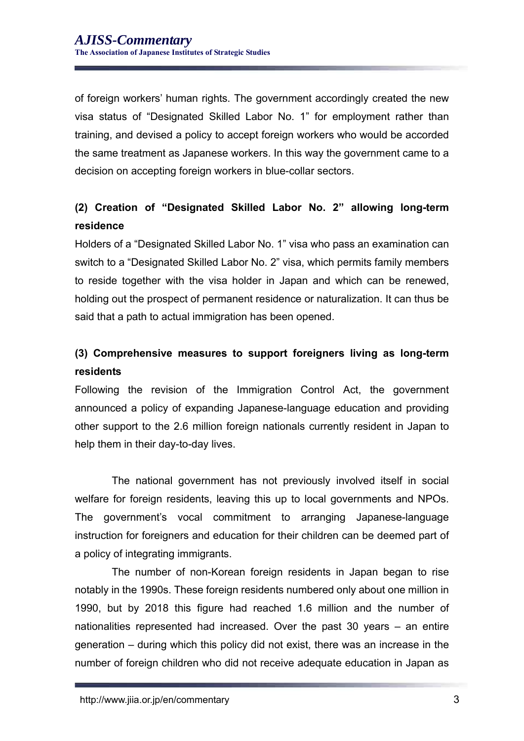of foreign workers' human rights. The government accordingly created the new visa status of "Designated Skilled Labor No. 1" for employment rather than training, and devised a policy to accept foreign workers who would be accorded the same treatment as Japanese workers. In this way the government came to a decision on accepting foreign workers in blue-collar sectors.

### **(2) Creation of "Designated Skilled Labor No. 2" allowing long-term residence**

Holders of a "Designated Skilled Labor No. 1" visa who pass an examination can switch to a "Designated Skilled Labor No. 2" visa, which permits family members to reside together with the visa holder in Japan and which can be renewed, holding out the prospect of permanent residence or naturalization. It can thus be said that a path to actual immigration has been opened.

## **(3) Comprehensive measures to support foreigners living as long-term residents**

Following the revision of the Immigration Control Act, the government announced a policy of expanding Japanese-language education and providing other support to the 2.6 million foreign nationals currently resident in Japan to help them in their day-to-day lives.

The national government has not previously involved itself in social welfare for foreign residents, leaving this up to local governments and NPOs. The government's vocal commitment to arranging Japanese-language instruction for foreigners and education for their children can be deemed part of a policy of integrating immigrants.

The number of non-Korean foreign residents in Japan began to rise notably in the 1990s. These foreign residents numbered only about one million in 1990, but by 2018 this figure had reached 1.6 million and the number of nationalities represented had increased. Over the past 30 years – an entire generation – during which this policy did not exist, there was an increase in the number of foreign children who did not receive adequate education in Japan as